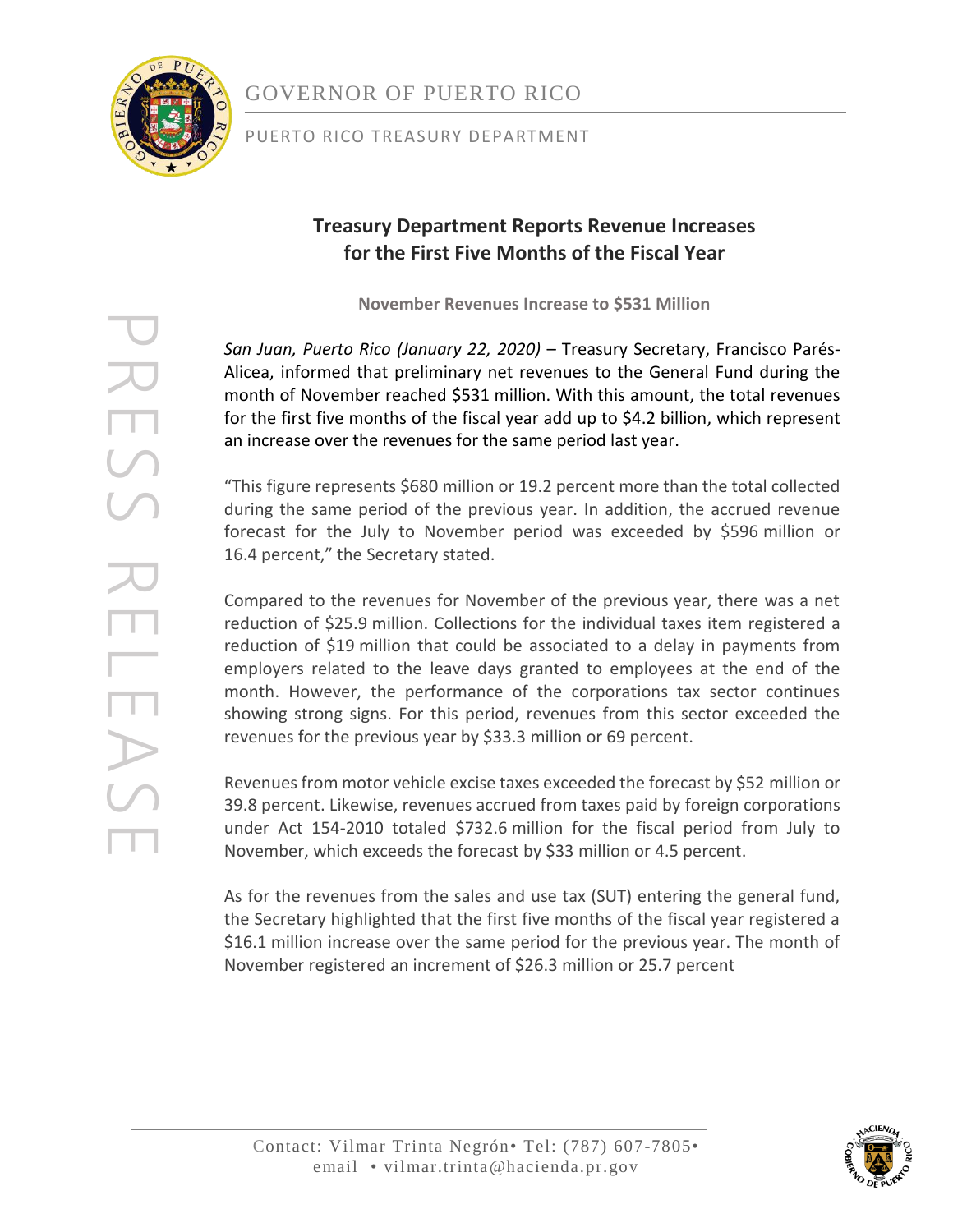

## GOVERNOR OF PUERTO RICO

#### PUERTO RICO TREASURY DEPARTMENT

### **Treasury Department Reports Revenue Increases for the First Five Months of the Fiscal Year**

**November Revenues Increase to \$531 Million**

*San Juan, Puerto Rico (January 22, 2020)* – Treasury Secretary, Francisco Parés-Alicea, informed that preliminary net revenues to the General Fund during the month of November reached \$531 million. With this amount, the total revenues for the first five months of the fiscal year add up to \$4.2 billion, which represent an increase over the revenues for the same period last year.

"This figure represents \$680 million or 19.2 percent more than the total collected during the same period of the previous year. In addition, the accrued revenue forecast for the July to November period was exceeded by \$596 million or 16.4 percent," the Secretary stated.

Compared to the revenues for November of the previous year, there was a net reduction of \$25.9 million. Collections for the individual taxes item registered a reduction of \$19 million that could be associated to a delay in payments from employers related to the leave days granted to employees at the end of the month. However, the performance of the corporations tax sector continues showing strong signs. For this period, revenues from this sector exceeded the revenues for the previous year by \$33.3 million or 69 percent.

Revenues from motor vehicle excise taxes exceeded the forecast by \$52 million or 39.8 percent. Likewise, revenues accrued from taxes paid by foreign corporations under Act 154-2010 totaled \$732.6 million for the fiscal period from July to November, which exceeds the forecast by \$33 million or 4.5 percent.

As for the revenues from the sales and use tax (SUT) entering the general fund, the Secretary highlighted that the first five months of the fiscal year registered a \$16.1 million increase over the same period for the previous year. The month of November registered an increment of \$26.3 million or 25.7 percent

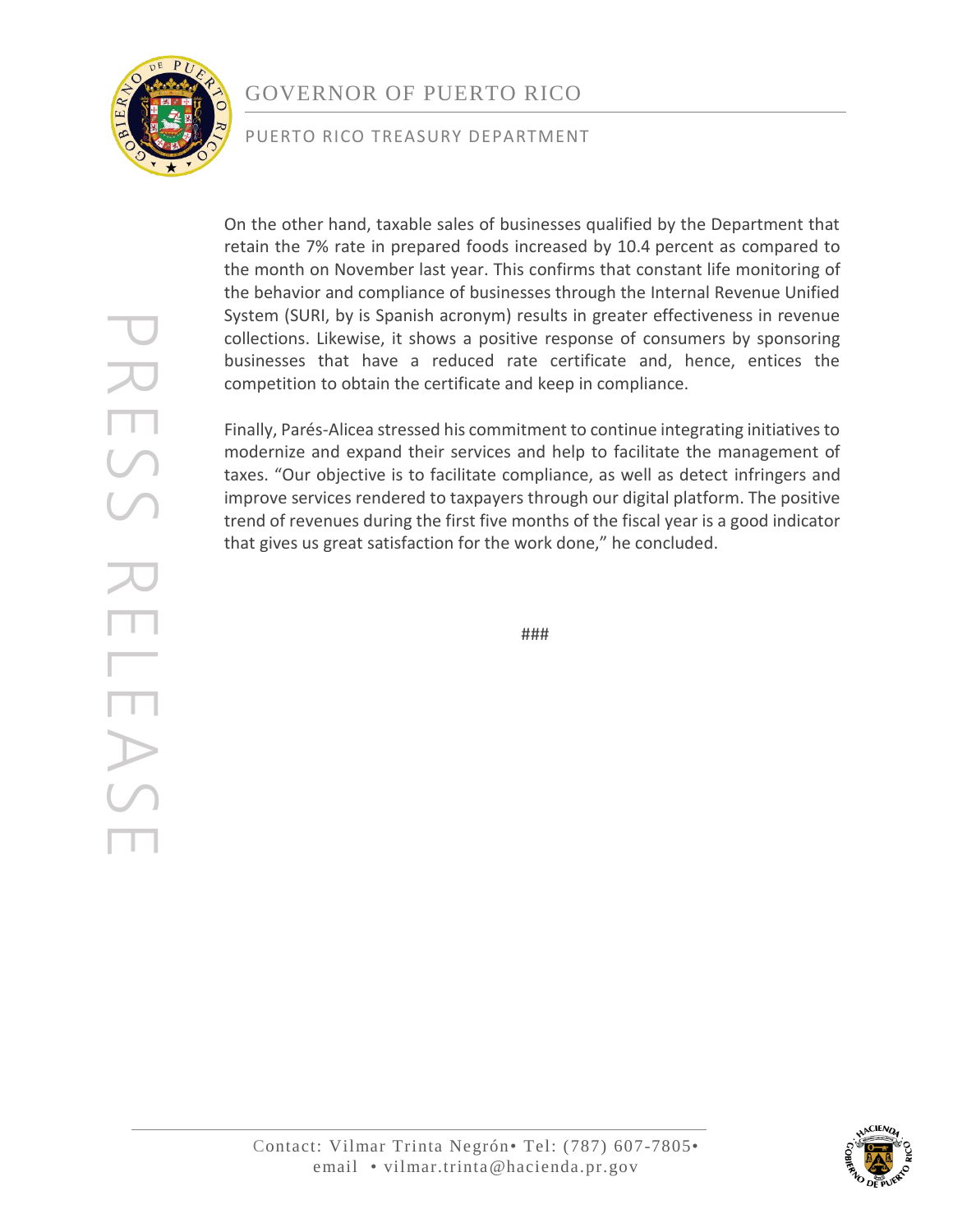



#### PUERTO RICO TREASURY DEPARTMENT

On the other hand, taxable sales of businesses qualified by the Department that retain the 7% rate in prepared foods increased by 10.4 percent as compared to the month on November last year. This confirms that constant life monitoring of the behavior and compliance of businesses through the Internal Revenue Unified System (SURI, by is Spanish acronym) results in greater effectiveness in revenue collections. Likewise, it shows a positive response of consumers by sponsoring businesses that have a reduced rate certificate and, hence, entices the competition to obtain the certificate and keep in compliance.

Finally, Parés-Alicea stressed his commitment to continue integrating initiatives to modernize and expand their services and help to facilitate the management of taxes. "Our objective is to facilitate compliance, as well as detect infringers and improve services rendered to taxpayers through our digital platform. The positive trend of revenues during the first five months of the fiscal year is a good indicator that gives us great satisfaction for the work done," he concluded.

###



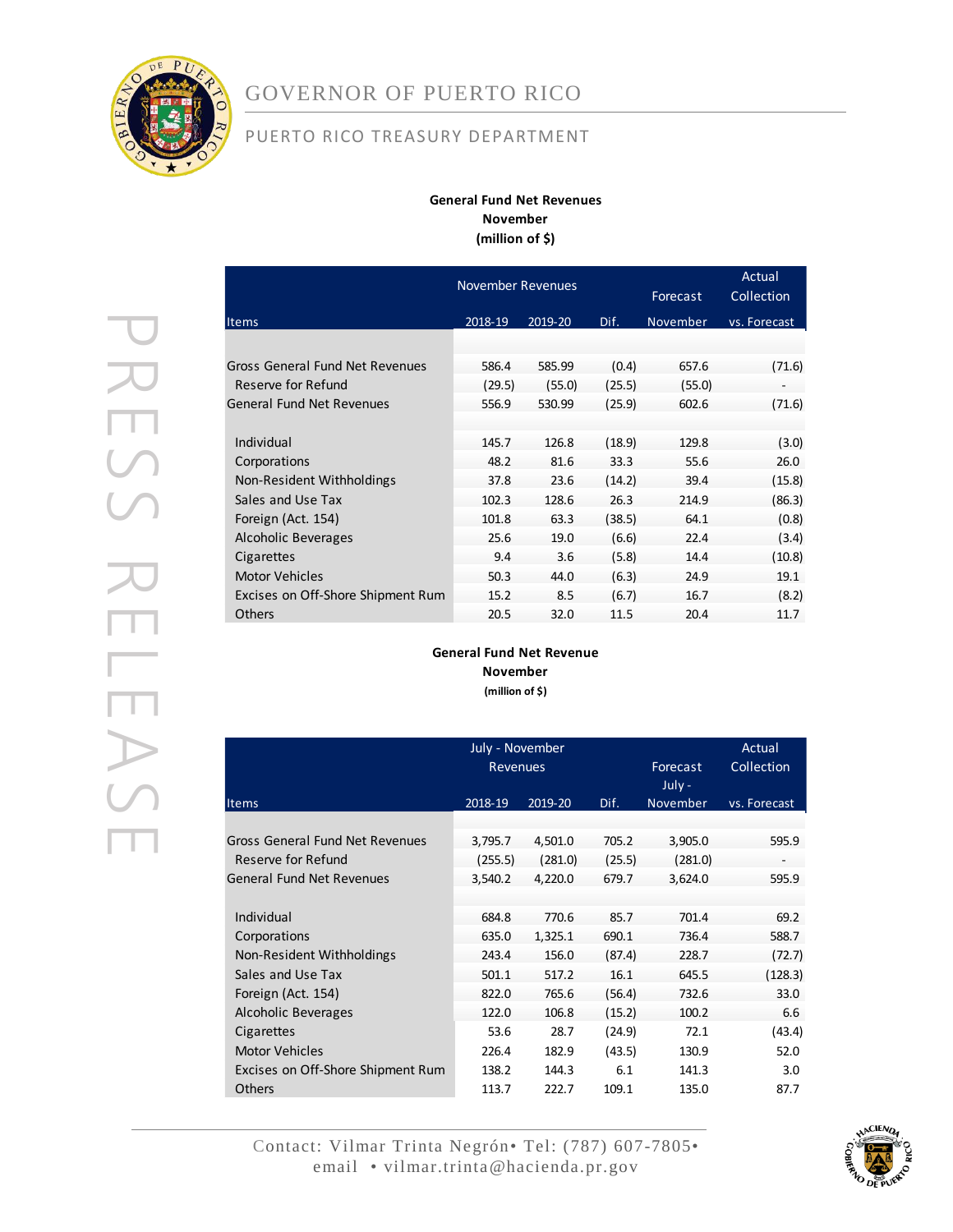

# GOVERNOR OF PUERTO RICO

#### PUERTO RICO TREASURY DEPARTMENT

#### **General Fund Net Revenues November (million of \$)**

November Revenues

Forecast

Actual Collection

| I                                                    |
|------------------------------------------------------|
|                                                      |
| $\big($<br>I                                         |
| $\overline{\mathcal{L}}$<br>$\overline{\phantom{0}}$ |
| Ì                                                    |
| l                                                    |
|                                                      |
| $\overline{\phantom{a}}$                             |
|                                                      |
| ľ                                                    |
|                                                      |

| Items                             | 2018-19 | 2019-20 | Dif.   | November | vs. Forecast             |
|-----------------------------------|---------|---------|--------|----------|--------------------------|
|                                   |         |         |        |          |                          |
| Gross General Fund Net Revenues   | 586.4   | 585.99  | (0.4)  | 657.6    | (71.6)                   |
| Reserve for Refund                | (29.5)  | (55.0)  | (25.5) | (55.0)   | $\overline{\phantom{a}}$ |
| General Fund Net Revenues         | 556.9   | 530.99  | (25.9) | 602.6    | (71.6)                   |
|                                   |         |         |        |          |                          |
| Individual                        | 145.7   | 126.8   | (18.9) | 129.8    | (3.0)                    |
| Corporations                      | 48.2    | 81.6    | 33.3   | 55.6     | 26.0                     |
| Non-Resident Withholdings         | 37.8    | 23.6    | (14.2) | 39.4     | (15.8)                   |
| Sales and Use Tax                 | 102.3   | 128.6   | 26.3   | 214.9    | (86.3)                   |
| Foreign (Act. 154)                | 101.8   | 63.3    | (38.5) | 64.1     | (0.8)                    |
| Alcoholic Beverages               | 25.6    | 19.0    | (6.6)  | 22.4     | (3.4)                    |
| Cigarettes                        | 9.4     | 3.6     | (5.8)  | 14.4     | (10.8)                   |
| <b>Motor Vehicles</b>             | 50.3    | 44.0    | (6.3)  | 24.9     | 19.1                     |
| Excises on Off-Shore Shipment Rum | 15.2    | 8.5     | (6.7)  | 16.7     | (8.2)                    |
| <b>Others</b>                     | 20.5    | 32.0    | 11.5   | 20.4     | 11.7                     |

#### **General Fund Net Revenue November**

**(million of \$)**

|                                   | July - November<br><b>Revenues</b> |         | Forecast<br>July - | Actual<br>Collection |              |
|-----------------------------------|------------------------------------|---------|--------------------|----------------------|--------------|
| Items                             | 2018-19                            | 2019-20 | Dif.               | November             | vs. Forecast |
|                                   |                                    |         |                    |                      |              |
| Gross General Fund Net Revenues   | 3,795.7                            | 4,501.0 | 705.2              | 3,905.0              | 595.9        |
| Reserve for Refund                | (255.5)                            | (281.0) | (25.5)             | (281.0)              |              |
| <b>General Fund Net Revenues</b>  | 3,540.2                            | 4,220.0 | 679.7              | 3,624.0              | 595.9        |
|                                   |                                    |         |                    |                      |              |
| Individual                        | 684.8                              | 770.6   | 85.7               | 701.4                | 69.2         |
| Corporations                      | 635.0                              | 1,325.1 | 690.1              | 736.4                | 588.7        |
| Non-Resident Withholdings         | 243.4                              | 156.0   | (87.4)             | 228.7                | (72.7)       |
| Sales and Use Tax                 | 501.1                              | 517.2   | 16.1               | 645.5                | (128.3)      |
| Foreign (Act. 154)                | 822.0                              | 765.6   | (56.4)             | 732.6                | 33.0         |
| Alcoholic Beverages               | 122.0                              | 106.8   | (15.2)             | 100.2                | 6.6          |
| Cigarettes                        | 53.6                               | 28.7    | (24.9)             | 72.1                 | (43.4)       |
| <b>Motor Vehicles</b>             | 226.4                              | 182.9   | (43.5)             | 130.9                | 52.0         |
| Excises on Off-Shore Shipment Rum | 138.2                              | 144.3   | 6.1                | 141.3                | 3.0          |
| Others                            | 113.7                              | 222.7   | 109.1              | 135.0                | 87.7         |